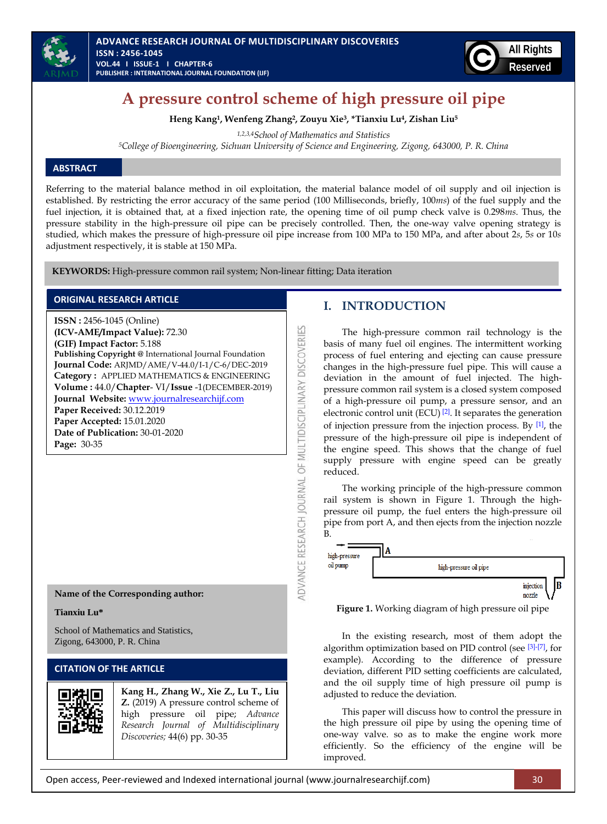



# **A pressure control scheme of high pressure oil pipe**

**Heng Kang1, Wenfeng Zhang2, Zouyu Xie3, \*Tianxiu Lu4, Zishan Liu<sup>5</sup>**

*1,2,3,4School of Mathematics and Statistics* 

*<sup>5</sup>College of Bioengineering, Sichuan University of Science and Engineering, Zigong, 643000, P. R. China*

## **ABSTRACT**

Referring to the material balance method in oil exploitation, the material balance model of oil supply and oil injection is established. By restricting the error accuracy of the same period (100 Milliseconds, briefly, 100*ms*) of the fuel supply and the fuel injection, it is obtained that, at a fixed injection rate, the opening time of oil pump check valve is 0.298*ms*. Thus, the pressure stability in the high-pressure oil pipe can be precisely controlled. Then, the one-way valve opening strategy is studied, which makes the pressure of high-pressure oil pipe increase from 100 MPa to 150 MPa, and after about 2*s*, 5*s* or 10*s* adjustment respectively, it is stable at 150 MPa.

ADVANCE RESEARCH JOURNAL OF MULTIDISCIPLINARY DISCOVERIES

**KEYWORDS:** High-pressure common rail system; Non-linear fitting; Data iteration

### **ORIGINAL RESEARCH ARTICLE**

**ISSN :** 2456-1045 (Online) **(ICV-AME/Impact Value):** 72.30 **(GIF) Impact Factor:** 5.188 **Publishing Copyright @** International Journal Foundation **Journal Code:** ARJMD/AME/V-44.0/I-1/C-6/DEC-2019 **Category :** APPLIED MATHEMATICS & ENGINEERING **Volume :** 44.0/**Chapter**- VI/**Issue** -1(DECEMBER-2019) **Journal Website:** [www.journalresearchijf.com](http://www.journalresearchijf.com/) **Paper Received:** 30.12.2019 **Paper Accepted:** 15.01.2020 **Date of Publication:** 30-01-2020 **Page:** 30-35

**Name of the Corresponding author:**

### **Tianxiu Lu\***

School of Mathematics and Statistics, Zigong, 643000, P. R. China

# **CITATION OF THE ARTICLE**



**Kang H., Zhang W., Xie Z., Lu T., Liu Z.** (2019) A pressure control scheme of high pressure oil pipe; *Advance Research Journal of Multidisciplinary Discoveries;* 44(6) pp. 30-35

# **I. INTRODUCTION**

The high-pressure common rail technology is the basis of many fuel oil engines. The intermittent working process of fuel entering and ejecting can cause pressure changes in the high-pressure fuel pipe. This will cause a deviation in the amount of fuel injected. The highpressure common rail system is a closed system composed of a high-pressure oil pump, a pressure sensor, and an electronic control unit (ECU)  $[2]$ . It separates the generation of injection pressure from the injection process. By  $[1]$ , the pressure of the high-pressure oil pipe is independent of the engine speed. This shows that the change of fuel supply pressure with engine speed can be greatly reduced.

The working principle of the high-pressure common rail system is shown in Figure 1. Through the highpressure oil pump, the fuel enters the high-pressure oil pipe from port A, and then ejects from the injection nozzle



**Figure 1.** Working diagram of high pressure oil pipe

In the existing research, most of them adopt the algorithm optimization based on PID control (see [\[3\]](#page-5-2)[-\[7\]](#page-5-3), for example). According to the difference of pressure deviation, different PID setting coefficients are calculated, and the oil supply time of high pressure oil pump is adjusted to reduce the deviation.

This paper will discuss how to control the pressure in the high pressure oil pipe by using the opening time of one-way valve. so as to make the engine work more efficiently. So the efficiency of the engine will be improved.

Open access, Peer-reviewed and Indexed international journal (www.journalresearchijf.com) 30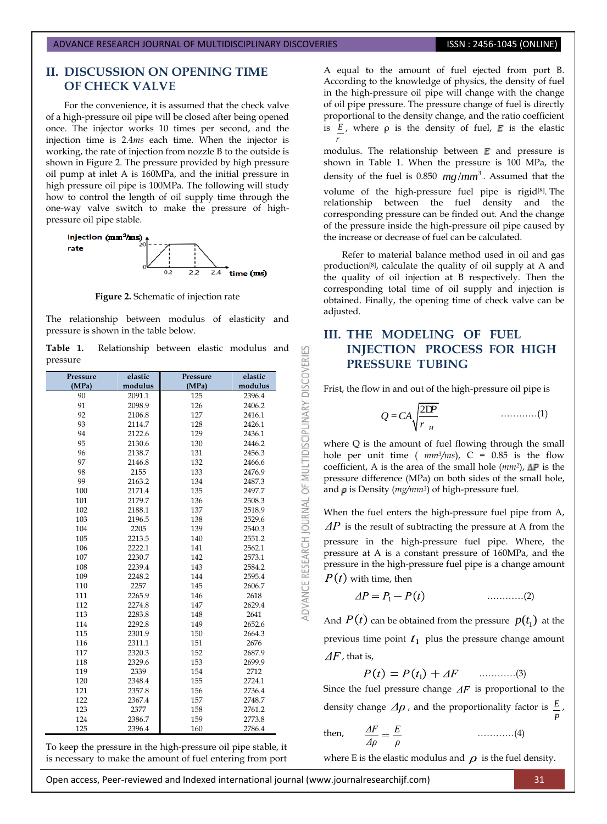# **II. DISCUSSION ON OPENING TIME OF CHECK VALVE**

For the convenience, it is assumed that the check valve of a high-pressure oil pipe will be closed after being opened once. The injector works 10 times per second, and the injection time is 2.4*ms* each time. When the injector is working, the rate of injection from nozzle B to the outside is shown in Figure 2. The pressure provided by high pressure oil pump at inlet A is 160MPa, and the initial pressure in high pressure oil pipe is 100MPa. The following will study how to control the length of oil supply time through the one-way valve switch to make the pressure of highpressure oil pipe stable.



**Figure 2.** Schematic of injection rate

The relationship between modulus of elasticity and pressure is shown in the table below.

**Table 1.** Relationship between elastic modulus and pressure

53

DVANCE RESEARCH JOURNAL OF MULTIDISCIPLINARY DISCOVERI

| Pressure | elastic | Pressure | elastic |  |
|----------|---------|----------|---------|--|
| (MPa)    | modulus | (MPa)    | modulus |  |
| 90       | 2091.1  | 125      | 2396.4  |  |
| 91       | 2098.9  | 126      | 2406.2  |  |
| 92       | 2106.8  | 127      | 2416.1  |  |
| 93       | 2114.7  | 128      | 2426.1  |  |
| 94       | 2122.6  | 129      | 2436.1  |  |
| 95       | 2130.6  | 130      | 2446.2  |  |
| 96       | 2138.7  | 131      | 2456.3  |  |
| 97       | 2146.8  | 132      | 2466.6  |  |
| 98       | 2155    | 133      | 2476.9  |  |
| 99       | 2163.2  | 134      | 2487.3  |  |
| 100      | 2171.4  | 135      | 2497.7  |  |
| 101      | 2179.7  | 136      | 2508.3  |  |
| 102      | 2188.1  | 137      | 2518.9  |  |
| 103      | 2196.5  | 138      | 2529.6  |  |
| 104      | 2205    | 139      | 2540.3  |  |
| 105      | 2213.5  | 140      | 2551.2  |  |
| 106      | 2222.1  | 141      | 2562.1  |  |
| 107      | 2230.7  | 142      | 2573.1  |  |
| 108      | 2239.4  | 143      | 2584.2  |  |
| 109      | 2248.2  | 144      | 2595.4  |  |
| 110      | 2257    | 145      | 2606.7  |  |
| 111      | 2265.9  | 146      | 2618    |  |
| 112      | 2274.8  | 147      | 2629.4  |  |
| 113      | 2283.8  | 148      | 2641    |  |
| 114      | 2292.8  | 149      | 2652.6  |  |
| 115      | 2301.9  | 150      | 2664.3  |  |
| 116      | 2311.1  | 151      | 2676    |  |
| 117      | 2320.3  | 152      | 2687.9  |  |
| 118      | 2329.6  | 153      | 2699.9  |  |
| 119      | 2339    | 154      | 2712    |  |
| 120      | 2348.4  | 155      | 2724.1  |  |
| 121      | 2357.8  | 156      | 2736.4  |  |
| 122      | 2367.4  | 157      | 2748.7  |  |
| 123      | 2377    | 158      | 2761.2  |  |
| 124      | 2386.7  | 159      | 2773.8  |  |
| 125      | 2396.4  | 160      | 2786.4  |  |

To keep the pressure in the high-pressure oil pipe stable, it is necessary to make the amount of fuel entering from port

A equal to the amount of fuel ejected from port B. According to the knowledge of physics, the density of fuel in the high-pressure oil pipe will change with the change of oil pipe pressure. The pressure change of fuel is directly proportional to the density change, and the ratio coefficient is  $E_i$ , where  $\rho$  is the density of fuel, **E** is the elastic *r*

modulus. The relationship between  $E$  and pressure is shown in Table 1. When the pressure is 100 MPa, the density of the fuel is  $0.850$   $mg/mm^3$ . Assumed that the volume of the high-pressure fuel pipe is rigid<sup>[8]</sup>. The relationship between the fuel density and the corresponding pressure can be finded out. And the change of the pressure inside the high-pressure oil pipe caused by the increase or decrease of fuel can be calculated.

Refer to material balance method used in oil and gas production[8] , calculate the quality of oil supply at A and the quality of oil injection at B respectively. Then the corresponding total time of oil supply and injection is obtained. Finally, the opening time of check valve can be adjusted.

# **III. THE MODELING OF FUEL INJECTION PROCESS FOR HIGH PRESSURE TUBING**

Frist, the flow in and out of the high-pressure oil pipe is

2 *H <sup>P</sup> Q CA r* D = …………(1)

where Q is the amount of fuel flowing through the small hole per unit time ( $mm^3/ms$ ), C = 0.85 is the flow coefficient, A is the area of the small hole  $(mm^2)$ ,  $\Delta P$  is the pressure difference (MPa) on both sides of the small hole, and  $\rho$  is Density ( $mg/mm^3$ ) of high-pressure fuel.

When the fuel enters the high-pressure fuel pipe from A,  $\Delta P$  is the result of subtracting the pressure at A from the pressure in the high-pressure fuel pipe. Where, the pressure at A is a constant pressure of 160MPa, and the pressure in the high-pressure fuel pipe is a change amount  $P(t)$  with time, then

$$
\Delta P = P_1 - P(t) \tag{2}
$$

And  $P(t)$  can be obtained from the pressure  $p(t_1)$  at the previous time point  $t_1$  plus the pressure change amount  $\Delta F$ , that is,

$$
P(t) = P(t_1) + \Delta F \quad \dots \dots \dots \dots (3)
$$

Since the fuel pressure change  $\Delta F$  is proportional to the density change  $\Delta \rho$ , and the proportionality factor is  $E$ ,

then, 
$$
\frac{\Delta F}{\Delta \rho} = \frac{E}{\rho} \quad \dots \dots \dots \dots (4)
$$

where E is the elastic modulus and  $\rho$  is the fuel density.

Open access, Peer-reviewed and Indexed international journal (www.journalresearchijf.com) 31

*P*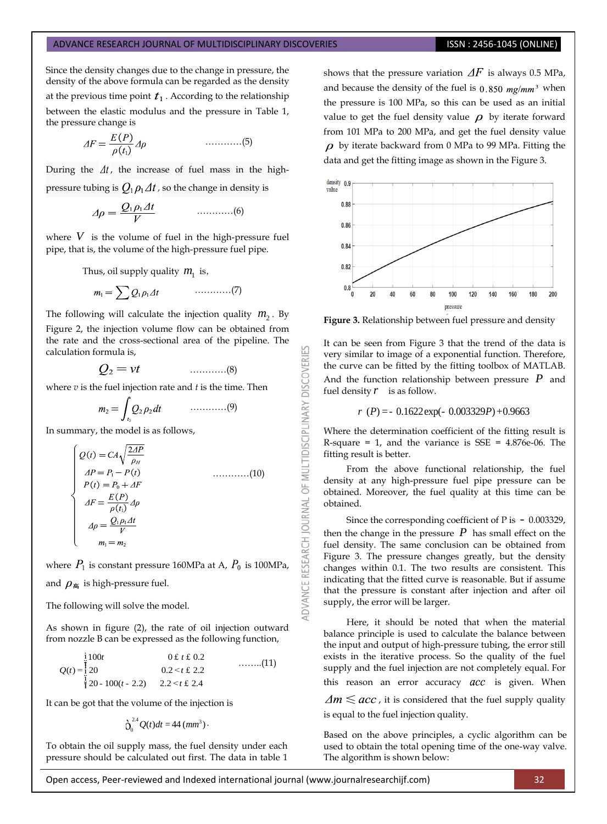Since the density changes due to the change in pressure, the density of the above formula can be regarded as the density at the previous time point  $t_1$ . According to the relationship between the elastic modulus and the pressure in Table 1, the pressure change is

$$
\Delta F = \frac{E(P)}{\rho(t_1)} \Delta \rho \qquad \qquad \dots \dots \dots \dots \dots (5)
$$

During the  $\Delta t$ , the increase of fuel mass in the highpressure tubing is  $Q_1 \rho_1 \Delta t$ , so the change in density is

$$
\Delta \rho = \frac{Q_1 \rho_1 \Delta t}{V} \qquad \qquad \dots \dots \dots \dots \dots (6)
$$

where  $V$  is the volume of fuel in the high-pressure fuel pipe, that is, the volume of the high-pressure fuel pipe.

Thus, oil supply quality  $m_1$  is,

$$
m_1 = \sum Q_1 \rho_1 \Delta t \qquad \qquad \ldots \ldots \ldots \ldots (7)
$$

The following will calculate the injection quality  $m_2$ . By Figure 2, the injection volume flow can be obtained from the rate and the cross-sectional area of the pipeline. The calculation formula is,

…………(8)

where *v* is the fuel injection rate and *t* is the time. Then

$$
m_2 = \int_{t_2} Q_2 \rho_2 dt \qquad \qquad \ldots \ldots \ldots \ldots \ldots (9)
$$

In summary, the model is as follows,

$$
\begin{cases}\nQ(t) = CA\sqrt{\frac{2AP}{\rho_H}} \\
AP = P_1 - P(t) \\
P(t) = P_0 + AF \\
\Delta F = \frac{E(P)}{\rho(t_1)} \Delta \rho \\
\Delta \rho = \frac{Q_1 \rho_1 \Delta t}{V} \\
m_1 = m_2\n\end{cases}
$$
\n(10)

where  $P_1$  is constant pressure 160MPa at A,  $P_0$  is 100MPa, and  $\rho_{\text{m}}$  is high-pressure fuel.

The following will solve the model.

As shown in figure (2), the rate of oil injection outward

from nozzle B can be expressed as the following function,  
\n
$$
Q(t) = \begin{cases}\n\frac{1}{2} & 100t \\
20 & 0.2 < t \text{ f } 2.2\n\end{cases}
$$
\n........(11)  
\n
$$
Q(t) = \begin{cases}\n\frac{1}{2} & 0.2 < t \text{ f } 2.2 \\
\frac{1}{2} & 2.2 < t \text{ f } 2.4\n\end{cases}
$$
........(12)

It can be got that the volume of the injection is

$$
\mathring{\bigcirc}_0^{2.4} Q(t)dt = 44 \left( mm^3 \right) \cdot
$$

To obtain the oil supply mass, the fuel density under each pressure should be calculated out first. The data in table 1

shows that the pressure variation  $\Delta F$  is always 0.5 MPa, and because the density of the fuel is  $0.850$  mg/mm<sup>3</sup> when the pressure is 100 MPa, so this can be used as an initial value to get the fuel density value  $\rho$  by iterate forward from 101 MPa to 200 MPa, and get the fuel density value  $\rho$  by iterate backward from 0 MPa to 99 MPa. Fitting the data and get the fitting image as shown in the Figure 3.



**Figure 3.** Relationship between fuel pressure and density

53

ADVANCE RESEARCH JOURNAL OF MULTIDISCIPLINARY DISCOVERI

It can be seen from Figure 3 that the trend of the data is very similar to image of a exponential function. Therefore, the curve can be fitted by the fitting toolbox of MATLAB. And the function relationship between pressure *P* and fuel density  $r$  is as follow.

$$
r(P) = -0.1622 \exp(-0.003329P) + 0.9663
$$

Where the determination coefficient of the fitting result is R-square = 1, and the variance is  $SSE = 4.876e-06$ . The fitting result is better.

From the above functional relationship, the fuel density at any high-pressure fuel pipe pressure can be obtained. Moreover, the fuel quality at this time can be obtained.

Since the corresponding coefficient of P is - 0.003329, then the change in the pressure  $P$  has small effect on the fuel density. The same conclusion can be obtained from Figure 3. The pressure changes greatly, but the density changes within 0.1. The two results are consistent. This indicating that the fitted curve is reasonable. But if assume that the pressure is constant after injection and after oil supply, the error will be larger.

Here, it should be noted that when the material balance principle is used to calculate the balance between the input and output of high-pressure tubing, the error still exists in the iterative process. So the quality of the fuel supply and the fuel injection are not completely equal. For this reason an error accuracy  $acc$  is given. When

 $\Delta m \leq acc$ , it is considered that the fuel supply quality is equal to the fuel injection quality.

Based on the above principles, a cyclic algorithm can be used to obtain the total opening time of the one-way valve. The algorithm is shown below:

Open access, Peer-reviewed and Indexed international journal (www.journalresearchijf.com) 32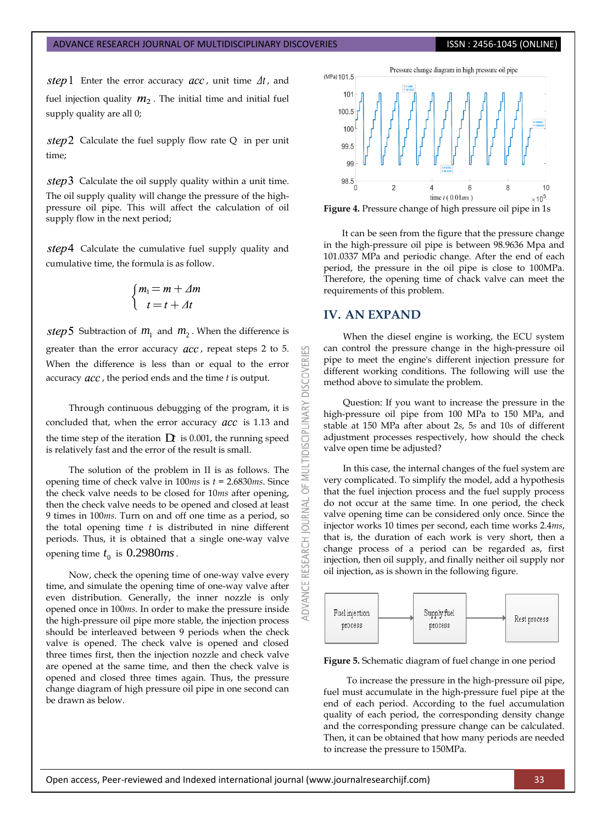step 1 Enter the error accuracy  $acc$ , unit time  $\Delta t$ , and fuel injection quality  $m_2$ . The initial time and initial fuel supply quality are all 0;

 $step2$  Calculate the fuel supply flow rate Q in per unit time;

 $step3$  Calculate the oil supply quality within a unit time. The oil supply quality will change the pressure of the highpressure oil pipe. This will affect the calculation of oil supply flow in the next period;

 $step4$  Calculate the cumulative fuel supply quality and cumulative time, the formula is as follow.

$$
\begin{cases} m_1 = m + \Delta m \\ t = t + \Delta t \end{cases}
$$

Subtraction of  $m_1$  and  $m_2$ . When the difference is greater than the error accuracy  $acc$ , repeat steps 2 to 5. When the difference is less than or equal to the error accuracy *acc*, the period ends and the time *t* is output.

Through continuous debugging of the program, it is concluded that, when the error accuracy  $acc$  is 1.13 and the time step of the iteration  $\mathbf D\!t$  is 0.001, the running speed is relatively fast and the error of the result is small.

The solution of the problem in II is as follows. The opening time of check valve in 100*ms* is *t* = 2.6830*ms*. Since the check valve needs to be closed for 10*ms* after opening, then the check valve needs to be opened and closed at least 9 times in 100*ms*. Turn on and off one time as a period, so the total opening time *t* is distributed in nine different periods. Thus, it is obtained that a single one-way valve opening time  $t_0$  is  $0.2980$ *ms*.

Now, check the opening time of one-way valve every time, and simulate the opening time of one-way valve after even distribution. Generally, the inner nozzle is only opened once in 100*ms.* In order to make the pressure inside the high-pressure oil pipe more stable, the injection process should be interleaved between 9 periods when the check valve is opened. The check valve is opened and closed three times first, then the injection nozzle and check valve are opened at the same time, and then the check valve is opened and closed three times again. Thus, the pressure change diagram of high pressure oil pipe in one second can be drawn as below.



**Figure 4.** Pressure change of high pressure oil pipe in 1s

It can be seen from the figure that the pressure change in the high-pressure oil pipe is between 98.9636 Mpa and 101.0337 MPa and periodic change. After the end of each period, the pressure in the oil pipe is close to 100MPa. Therefore, the opening time of chack valve can meet the requirements of this problem.

### **IV. AN EXPAND**

53

**DISCOVERI** 

INARY

**DISCIPL** 

5F

**JOURNAL** 

**RESEARCH** 

ADVANCE

When the diesel engine is working, the ECU system can control the pressure change in the high-pressure oil pipe to meet the engine's different injection pressure for different working conditions. The following will use the method above to simulate the problem.

Question: If you want to increase the pressure in the high-pressure oil pipe from 100 MPa to 150 MPa, and stable at 150 MPa after about 2*s*, 5*s* and 10*s* of different adjustment processes respectively, how should the check valve open time be adjusted?

In this case, the internal changes of the fuel system are very complicated. To simplify the model, add a hypothesis that the fuel injection process and the fuel supply process do not occur at the same time. In one period, the check valve opening time can be considered only once. Since the injector works 10 times per second, each time works 2.4*ms*, that is, the duration of each work is very short, then a change process of a period can be regarded as, first injection, then oil supply, and finally neither oil supply nor oil injection, as is shown in the following figure.



**Figure 5.** Schematic diagram of fuel change in one period

To increase the pressure in the high-pressure oil pipe, fuel must accumulate in the high-pressure fuel pipe at the end of each period. According to the fuel accumulation quality of each period, the corresponding density change and the corresponding pressure change can be calculated. Then, it can be obtained that how many periods are needed to increase the pressure to 150MPa.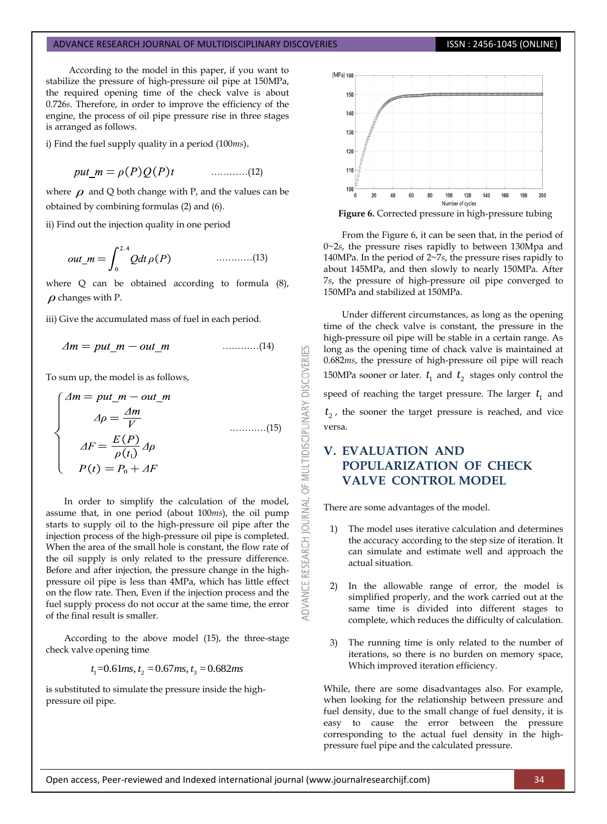According to the model in this paper, if you want to stabilize the pressure of high-pressure oil pipe at 150MPa, the required opening time of the check valve is about 0.726*s*. Therefore, in order to improve the efficiency of the engine, the process of oil pipe pressure rise in three stages is arranged as follows.

i) Find the fuel supply quality in a period (100*ms*),

$$
put\_m = \rho(P)Q(P)t \qquad \qquad \ldots \ldots \ldots \ldots \ldots (12)
$$

where  $\rho$  and Q both change with P, and the values can be obtained by combining formulas (2) and (6).

ii) Find out the injection quality in one period

…………(13)

where Q can be obtained according to formula (8),  $\rho$  changes with P.

iii) Give the accumulated mass of fuel in each period.

$$
\Delta m = put\_m - out\_m \qquad \qquad \ldots \ldots \ldots \ldots (14)
$$

To sum up, the model is as follows,

$$
\begin{cases}\n\Delta m = put\_m - out\_m \\
\Delta \rho = \frac{\Delta m}{V} \quad \text{...........(15)} \\
\Delta F = \frac{E(P)}{\rho(t_1)} \Delta \rho \\
P(t) = P_0 + \Delta F\n\end{cases}
$$

In order to simplify the calculation of the model, assume that, in one period (about 100*ms*), the oil pump starts to supply oil to the high-pressure oil pipe after the injection process of the high-pressure oil pipe is completed. When the area of the small hole is constant, the flow rate of the oil supply is only related to the pressure difference. Before and after injection, the pressure change in the highpressure oil pipe is less than 4MPa, which has little effect on the flow rate. Then, Even if the injection process and the fuel supply process do not occur at the same time, the error of the final result is smaller.

According to the above model (15), the three-stage check valve opening time

*t*<sub>1</sub>=0.61*ms*, *t*<sub>2</sub> = 0.67*ms*, *t*<sub>3</sub> = 0.682*ms* 

is substituted to simulate the pressure inside the highpressure oil pipe.



**Figure 6.** Corrected pressure in high-pressure tubing

From the Figure 6, it can be seen that, in the period of 0~2*s*, the pressure rises rapidly to between 130Mpa and 140MPa. In the period of 2~7*s*, the pressure rises rapidly to about 145MPa, and then slowly to nearly 150MPa. After 7*s*, the pressure of high-pressure oil pipe converged to 150MPa and stabilized at 150MPa.

Under different circumstances, as long as the opening time of the check valve is constant, the pressure in the high-pressure oil pipe will be stable in a certain range. As long as the opening time of chack valve is maintained at 0.682*ms*, the pressure of high-pressure oil pipe will reach 150MPa sooner or later.  $t_1$  and  $t_2$  stages only control the speed of reaching the target pressure. The larger  $\,t_{1}\,$  and  $t_2$ , the sooner the target pressure is reached, and vice versa.

# **V. EVALUATION AND POPULARIZATION OF CHECK VALVE CONTROL MODEL**

There are some advantages of the model.

OF MULTIDISCIPLINARY DISCOVERIES

**ADVANCE RESEARCH JOURNAL** 

- 1) The model uses iterative calculation and determines the accuracy according to the step size of iteration. It can simulate and estimate well and approach the actual situation.
- 2) In the allowable range of error, the model is simplified properly, and the work carried out at the same time is divided into different stages to complete, which reduces the difficulty of calculation.
- 3) The running time is only related to the number of iterations, so there is no burden on memory space, Which improved iteration efficiency.

While, there are some disadvantages also. For example, when looking for the relationship between pressure and fuel density, due to the small change of fuel density, it is easy to cause the error between the pressure corresponding to the actual fuel density in the highpressure fuel pipe and the calculated pressure.